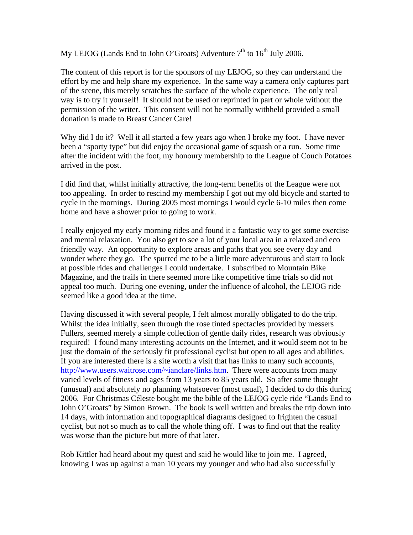My LEJOG (Lands End to John O'Groats) Adventure  $7<sup>th</sup>$  to  $16<sup>th</sup>$  July 2006.

The content of this report is for the sponsors of my LEJOG, so they can understand the effort by me and help share my experience. In the same way a camera only captures part of the scene, this merely scratches the surface of the whole experience. The only real way is to try it yourself! It should not be used or reprinted in part or whole without the permission of the writer. This consent will not be normally withheld provided a small donation is made to Breast Cancer Care!

Why did I do it? Well it all started a few years ago when I broke my foot. I have never been a "sporty type" but did enjoy the occasional game of squash or a run. Some time after the incident with the foot, my honoury membership to the League of Couch Potatoes arrived in the post.

I did find that, whilst initially attractive, the long-term benefits of the League were not too appealing. In order to rescind my membership I got out my old bicycle and started to cycle in the mornings. During 2005 most mornings I would cycle 6-10 miles then come home and have a shower prior to going to work.

I really enjoyed my early morning rides and found it a fantastic way to get some exercise and mental relaxation. You also get to see a lot of your local area in a relaxed and eco friendly way. An opportunity to explore areas and paths that you see every day and wonder where they go. The spurred me to be a little more adventurous and start to look at possible rides and challenges I could undertake. I subscribed to Mountain Bike Magazine, and the trails in there seemed more like competitive time trials so did not appeal too much. During one evening, under the influence of alcohol, the LEJOG ride seemed like a good idea at the time.

Having discussed it with several people, I felt almost morally obligated to do the trip. Whilst the idea initially, seen through the rose tinted spectacles provided by messers Fullers, seemed merely a simple collection of gentle daily rides, research was obviously required! I found many interesting accounts on the Internet, and it would seem not to be just the domain of the seriously fit professional cyclist but open to all ages and abilities. If you are interested there is a site worth a visit that has links to many such accounts, http://www.users.waitrose.com/~ianclare/links.htm. There were accounts from many varied levels of fitness and ages from 13 years to 85 years old. So after some thought (unusual) and absolutely no planning whatsoever (most usual), I decided to do this during 2006. For Christmas Céleste bought me the bible of the LEJOG cycle ride "Lands End to John O'Groats" by Simon Brown. The book is well written and breaks the trip down into 14 days, with information and topographical diagrams designed to frighten the casual cyclist, but not so much as to call the whole thing off. I was to find out that the reality was worse than the picture but more of that later.

Rob Kittler had heard about my quest and said he would like to join me. I agreed, knowing I was up against a man 10 years my younger and who had also successfully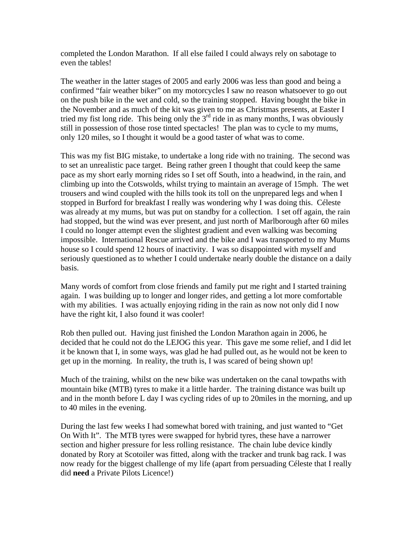completed the London Marathon. If all else failed I could always rely on sabotage to even the tables!

The weather in the latter stages of 2005 and early 2006 was less than good and being a confirmed "fair weather biker" on my motorcycles I saw no reason whatsoever to go out on the push bike in the wet and cold, so the training stopped. Having bought the bike in the November and as much of the kit was given to me as Christmas presents, at Easter I tried my fist long ride. This being only the  $3<sup>rd</sup>$  ride in as many months, I was obviously still in possession of those rose tinted spectacles! The plan was to cycle to my mums, only 120 miles, so I thought it would be a good taster of what was to come.

This was my fist BIG mistake, to undertake a long ride with no training. The second was to set an unrealistic pace target. Being rather green I thought that could keep the same pace as my short early morning rides so I set off South, into a headwind, in the rain, and climbing up into the Cotswolds, whilst trying to maintain an average of 15mph. The wet trousers and wind coupled with the hills took its toll on the unprepared legs and when I stopped in Burford for breakfast I really was wondering why I was doing this. Céleste was already at my mums, but was put on standby for a collection. I set off again, the rain had stopped, but the wind was ever present, and just north of Marlborough after 60 miles I could no longer attempt even the slightest gradient and even walking was becoming impossible. International Rescue arrived and the bike and I was transported to my Mums house so I could spend 12 hours of inactivity. I was so disappointed with myself and seriously questioned as to whether I could undertake nearly double the distance on a daily basis.

Many words of comfort from close friends and family put me right and I started training again. I was building up to longer and longer rides, and getting a lot more comfortable with my abilities. I was actually enjoying riding in the rain as now not only did I now have the right kit, I also found it was cooler!

Rob then pulled out. Having just finished the London Marathon again in 2006, he decided that he could not do the LEJOG this year. This gave me some relief, and I did let it be known that I, in some ways, was glad he had pulled out, as he would not be keen to get up in the morning. In reality, the truth is, I was scared of being shown up!

Much of the training, whilst on the new bike was undertaken on the canal towpaths with mountain bike (MTB) tyres to make it a little harder. The training distance was built up and in the month before L day I was cycling rides of up to 20miles in the morning, and up to 40 miles in the evening.

During the last few weeks I had somewhat bored with training, and just wanted to "Get On With It". The MTB tyres were swapped for hybrid tyres, these have a narrower section and higher pressure for less rolling resistance. The chain lube device kindly donated by Rory at Scotoiler was fitted, along with the tracker and trunk bag rack. I was now ready for the biggest challenge of my life (apart from persuading Céleste that I really did **need** a Private Pilots Licence!)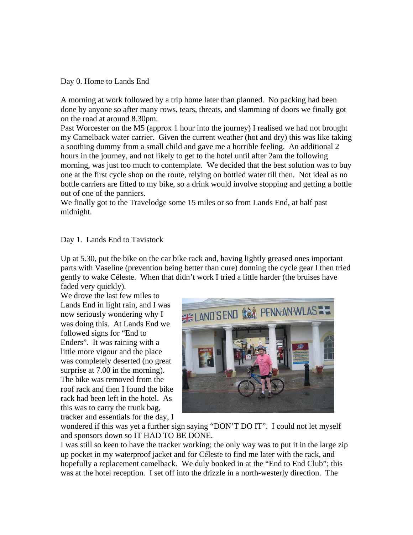Day 0. Home to Lands End

A morning at work followed by a trip home later than planned. No packing had been done by anyone so after many rows, tears, threats, and slamming of doors we finally got on the road at around 8.30pm.

Past Worcester on the M5 (approx 1 hour into the journey) I realised we had not brought my Camelback water carrier. Given the current weather (hot and dry) this was like taking a soothing dummy from a small child and gave me a horrible feeling. An additional 2 hours in the journey, and not likely to get to the hotel until after 2am the following morning, was just too much to contemplate. We decided that the best solution was to buy one at the first cycle shop on the route, relying on bottled water till then. Not ideal as no bottle carriers are fitted to my bike, so a drink would involve stopping and getting a bottle out of one of the panniers.

We finally got to the Travelodge some 15 miles or so from Lands End, at half past midnight.

# Day 1. Lands End to Tavistock

Up at 5.30, put the bike on the car bike rack and, having lightly greased ones important parts with Vaseline (prevention being better than cure) donning the cycle gear I then tried gently to wake Céleste. When that didn't work I tried a little harder (the bruises have faded very quickly).

We drove the last few miles to Lands End in light rain, and I was now seriously wondering why I was doing this. At Lands End we followed signs for "End to Enders". It was raining with a little more vigour and the place was completely deserted (no great surprise at 7.00 in the morning). The bike was removed from the roof rack and then I found the bike rack had been left in the hotel. As this was to carry the trunk bag, tracker and essentials for the day, I



wondered if this was yet a further sign saying "DON'T DO IT". I could not let myself and sponsors down so IT HAD TO BE DONE.

I was still so keen to have the tracker working; the only way was to put it in the large zip up pocket in my waterproof jacket and for Céleste to find me later with the rack, and hopefully a replacement camelback. We duly booked in at the "End to End Club"; this was at the hotel reception. I set off into the drizzle in a north-westerly direction. The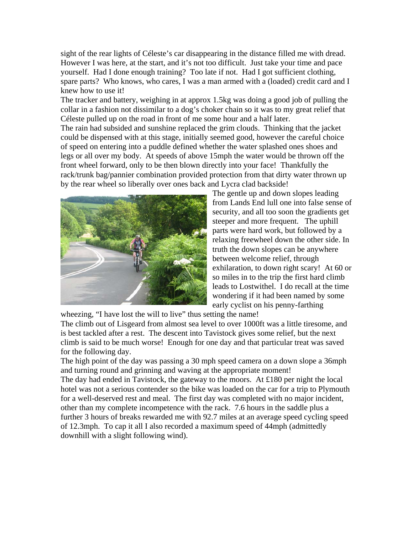sight of the rear lights of Céleste's car disappearing in the distance filled me with dread. However I was here, at the start, and it's not too difficult. Just take your time and pace yourself. Had I done enough training? Too late if not. Had I got sufficient clothing, spare parts? Who knows, who cares, I was a man armed with a (loaded) credit card and I knew how to use it!

The tracker and battery, weighing in at approx 1.5kg was doing a good job of pulling the collar in a fashion not dissimilar to a dog's choker chain so it was to my great relief that Céleste pulled up on the road in front of me some hour and a half later.

The rain had subsided and sunshine replaced the grim clouds. Thinking that the jacket could be dispensed with at this stage, initially seemed good, however the careful choice of speed on entering into a puddle defined whether the water splashed ones shoes and legs or all over my body. At speeds of above 15mph the water would be thrown off the front wheel forward, only to be then blown directly into your face! Thankfully the rack/trunk bag/pannier combination provided protection from that dirty water thrown up by the rear wheel so liberally over ones back and Lycra clad backside!



The gentle up and down slopes leading from Lands End lull one into false sense o f security, and all too soon the gradients get steeper and more frequent. The uphill parts were hard work, but followed by a relaxing freewheel down the other side. In truth the down slopes can be anywhere between welcome relief, through exhilaration, to down right scary! At 60 or so miles in to the trip the first hard clim b leads to Lostwithel. I do recall at the tim e wondering if it had been named by some early cyclist on his penny-farthing

wheezing, "I have lost the will to live" thus setting the name! The climb out of Lisgeard from almost sea level to over 1000ft was a little tiresome, and is best tackled after a rest. The descent into Tavistock gives some relief, but the next climb is said to be much worse! Enough for one day and that particular treat was saved for the following day.

The high point of the day was passing a 30 mph speed camera on a down slope a 36mph and turning round and grinning and waving at the appropriate moment!

The day had ended in Tavistock, the gateway to the moors. At £180 per night the local hotel was not a serious contender so the bike was loaded on the car for a trip to Plymouth for a well-deserved rest and meal. The first day was completed with no major incident, other than my complete incompetence with the rack. 7.6 hours in the saddle plus a further 3 hours of breaks rewarded me with 92.7 miles at an average speed cycling speed of 12.3mph. To cap it all I also recorded a maximum speed of 44mph (admittedly downhill with a slight following wind).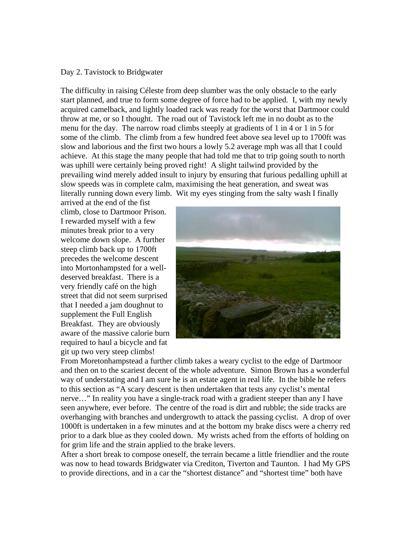### Day 2. Tavistock to Bridgwater

The difficulty in raising Céleste from deep slumber was the only obstacle to the early start planned, and true to form some degree of force had to be applied. I, with my newly acquired camelback, and lightly loaded rack was ready for the worst that Dartmoor could throw at me, or so I thought. The road out of Tavistock left me in no doubt as to the menu for the day. The narrow road climbs steeply at gradients of 1 in 4 or 1 in 5 for some of the climb. The climb from a few hundred feet above sea level up to 1700ft was slow and laborious and the first two hours a lowly 5.2 average mph was all that I could achieve. At this stage the many people that had told me that to trip going south to north was uphill were certainly being proved right! A slight tailwind provided by the prevailing wind merely added insult to injury by ensuring that furious pedalling uphill at slow speeds was in complete calm, maximising the heat generation, and sweat was literally running down every limb. Wit my eyes stinging from the salty wash I finally

arrived at the end of the fist climb, close to Dartmoor Prison. I rewarded myself with a few minutes break prior to a very welcome down slope. A further steep climb back up to 1700ft precedes the welcome descent into Mortonhampsted for a welldeserved breakfast. There is a very friendly café on the high street that did not seem surprised that I needed a jam doughnut to supplement the Full English Breakfast. They are obviously aware of the massive calorie b urn required to haul a bicycle and fa t git up two very steep climbs!



From Moretonhampstead a further climb takes a weary cyclist to the edge of Dartmoor and then on to the scariest decent of the whole adventure. Simon Brown has a wonderful way of understating and I am sure he is an estate agent in real life. In the bible he refers to this section as "A scary descent is then undertaken that tests any cyclist's mental nerve…" In reality you have a single-track road with a gradient steeper than any I have seen anywhere, ever before. The centre of the road is dirt and rubble; the side tracks are overhanging with branches and undergrowth to attack the passing cyclist. A drop of over 1000ft is undertaken in a few minutes and at the bottom my brake discs were a cherry red prior to a dark blue as they cooled down. My wrists ached from the efforts of holding on for grim life and the strain applied to the brake levers.

After a short break to compose oneself, the terrain became a little friendlier and the route was now to head towards Bridgwater via Crediton, Tiverton and Taunton. I had My GPS to provide directions, and in a car the "shortest distance" and "shortest time" both have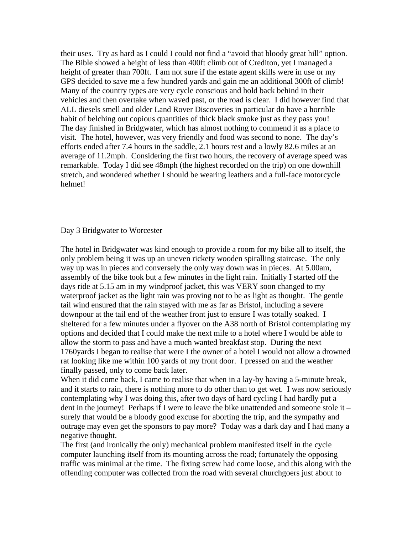their uses. Try as hard as I could I could not find a "avoid that bloody great hill" option. The Bible showed a height of less than 400ft climb out of Crediton, yet I managed a height of greater than 700ft. I am not sure if the estate agent skills were in use or my GPS decided to save me a few hundred yards and gain me an additional 300ft of climb! Many of the country types are very cycle conscious and hold back behind in their vehicles and then overtake when waved past, or the road is clear. I did however find that ALL diesels smell and older Land Rover Discoveries in particular do have a horrible habit of belching out copious quantities of thick black smoke just as they pass you! The day finished in Bridgwater, which has almost nothing to commend it as a place to visit. The hotel, however, was very friendly and food was second to none. The day's efforts ended after 7.4 hours in the saddle, 2.1 hours rest and a lowly 82.6 miles at an average of 11.2mph. Considering the first two hours, the recovery of average speed was remarkable. Today I did see 48mph (the highest recorded on the trip) on one downhill stretch, and wondered whether I should be wearing leathers and a full-face motorcycle helmet!

# Day 3 Bridgwater to Worcester

The hotel in Bridgwater was kind enough to provide a room for my bike all to itself, the only problem being it was up an uneven rickety wooden spiralling staircase. The only way up was in pieces and conversely the only way down was in pieces. At 5.00am, assembly of the bike took but a few minutes in the light rain. Initially I started off the days ride at 5.15 am in my windproof jacket, this was VERY soon changed to my waterproof jacket as the light rain was proving not to be as light as thought. The gentle tail wind ensured that the rain stayed with me as far as Bristol, including a severe downpour at the tail end of the weather front just to ensure I was totally soaked. I sheltered for a few minutes under a flyover on the A38 north of Bristol contemplating my options and decided that I could make the next mile to a hotel where I would be able to allow the storm to pass and have a much wanted breakfast stop. During the next 1760yards I began to realise that were I the owner of a hotel I would not allow a drowned rat looking like me within 100 yards of my front door. I pressed on and the weather finally passed, only to come back later.

When it did come back, I came to realise that when in a lay-by having a 5-minute break, and it starts to rain, there is nothing more to do other than to get wet. I was now seriously contemplating why I was doing this, after two days of hard cycling I had hardly put a dent in the journey! Perhaps if I were to leave the bike unattended and someone stole it – surely that would be a bloody good excuse for aborting the trip, and the sympathy and outrage may even get the sponsors to pay more? Today was a dark day and I had many a negative thought.

The first (and ironically the only) mechanical problem manifested itself in the cycle computer launching itself from its mounting across the road; fortunately the opposing traffic was minimal at the time. The fixing screw had come loose, and this along with the offending computer was collected from the road with several churchgoers just about to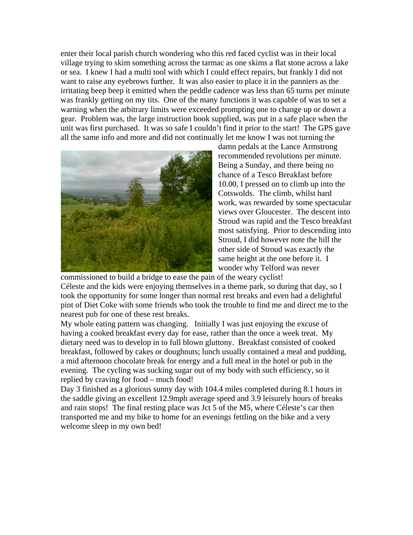enter their local parish church wondering who this red faced cyclist was in their local village trying to skim something across the tarmac as one skims a flat stone across a lake or sea. I knew I had a multi tool with which I could effect repairs, but frankly I did not want to raise any eyebrows further. It was also easier to place it in the panniers as the irritating beep beep it emitted when the peddle cadence was less than 65 turns per minute was frankly getting on my tits. One of the many functions it was capable of was to set a warning when the arbitrary limits were exceeded prompting one to change up or down a gear. Problem was, the large instruction book supplied, was put in a safe place when the unit was first purchased. It was so safe I couldn't find it prior to the start! The GPS gave all the same info and more and did not continually let me know I was not turning the



damn pedals at the Lance Armstrong recommended revolutions per minute. Being a Sunday, and there being no chance of a Tesco Breakfast before 10.00, I pressed on to climb up into the Cotswolds. The climb, whilst hard work, was rewarded by some spectacular views over Gloucester. The descent into Stroud was rapid and the Tesco b reakfast most satisfying. Prior to descending into Stroud, I did however note the hill the other side of Stroud was exactly the same height at the one before it. I wonder why Telford was never

commissioned to build a bridge to ease the pain of the weary cyclist! Céleste and the kids were enjo ying themselves in a theme park, so during that day, so I took the opportunity for some longer than normal rest breaks and even had a delightful pint of Diet Coke with some friends who took the trouble to find me and direct me to the nearest pub for one of these rest breaks.

My whole eating pattern was changing. Initially I was just enjoying the excuse of breakfast, followed by cakes or doughnuts; lunch usually contained a meal and pudding, having a cooked breakfast every day for ease, rather than the once a week treat. My dietary need was to develop in to full blown gluttony. Breakfast consisted of cooked a mid afternoon chocolate break for energy and a full meal in the hotel or pub in the evening. The cycling was sucking sugar out of my body with such efficiency, so it replied by craving for food – much food!

Day 3 finished as a glorious sunny day with 104.4 miles completed during 8.1 hours in the saddle giving an excellent 12.9mph average speed and 3.9 leisurely hours of breaks and rain stops! The final resting place was Jct 5 of the M5, where Céleste's car then transported me and my bike to home for an evenings fettling on the bike and a very welcome sleep in my own bed!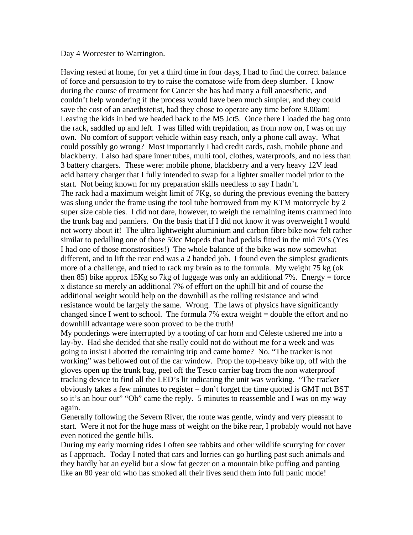### Day 4 Worcester to Warrington.

Having rested at home, for yet a third time in four days, I had to find the correct balance of force and persuasion to try to raise the comatose wife from deep slumber. I know during the course of treatment for Cancer she has had many a full anaesthetic, and couldn't help wondering if the process would have been much simpler, and they could save the cost of an anaethstetist, had they chose to operate any time before 9.00am! Leaving the kids in bed we headed back to the M5 Jct5. Once there I loaded the bag onto the rack, saddled up and left. I was filled with trepidation, as from now on, I was on my own. No comfort of support vehicle within easy reach, only a phone call away. What could possibly go wrong? Most importantly I had credit cards, cash, mobile phone and blackberry. I also had spare inner tubes, multi tool, clothes, waterproofs, and no less than 3 battery chargers. These were: mobile phone, blackberry and a very heavy 12V lead acid battery charger that I fully intended to swap for a lighter smaller model prior to the start. Not being known for my preparation skills needless to say I hadn't. The rack had a maximum weight limit of 7Kg, so during the previous evening the battery was slung under the frame using the tool tube borrowed from my KTM motorcycle by 2 super size cable ties. I did not dare, however, to weigh the remaining items crammed into the trunk bag and panniers. On the basis that if I did not know it was overweight I would not worry about it! The ultra lightweight aluminium and carbon fibre bike now felt rather similar to pedalling one of those 50cc Mopeds that had pedals fitted in the mid 70's (Yes I had one of those monstrosities!) The whole balance of the bike was now somewhat different, and to lift the rear end was a 2 handed job. I found even the simplest gradients more of a challenge, and tried to rack my brain as to the formula. My weight 75 kg (ok then 85) bike approx 15Kg so 7kg of luggage was only an additional 7%. Energy = force x distance so merely an additional 7% of effort on the uphill bit and of course the additional weight would help on the downhill as the rolling resistance and wind resistance would be largely the same. Wrong. The laws of physics have significantly changed since I went to school. The formula 7% extra weight = double the effort and no downhill advantage were soon proved to be the truth!

My ponderings were interrupted by a tooting of car horn and Céleste ushered me into a lay-by. Had she decided that she really could not do without me for a week and was going to insist I aborted the remaining trip and came home? No. "The tracker is not working" was bellowed out of the car window. Prop the top-heavy bike up, off with the gloves open up the trunk bag, peel off the Tesco carrier bag from the non waterproof tracking device to find all the LED's lit indicating the unit was working. "The tracker obviously takes a few minutes to register – don't forget the time quoted is GMT not BST so it's an hour out" "Oh" came the reply. 5 minutes to reassemble and I was on my way again.

Generally following the Severn River, the route was gentle, windy and very pleasant to start. Were it not for the huge mass of weight on the bike rear, I probably would not have even noticed the gentle hills.

During my early morning rides I often see rabbits and other wildlife scurrying for cover as I approach. Today I noted that cars and lorries can go hurtling past such animals and they hardly bat an eyelid but a slow fat geezer on a mountain bike puffing and panting like an 80 year old who has smoked all their lives send them into full panic mode!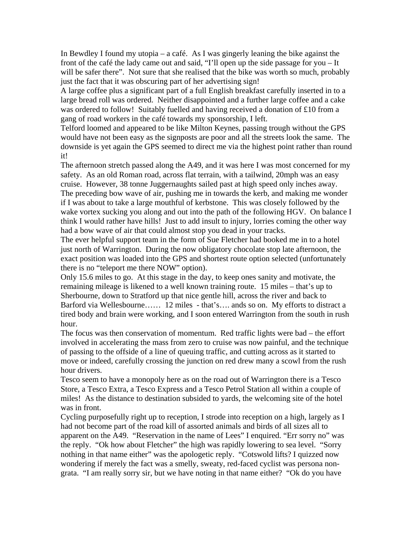In Bewdley I found my utopia – a café. As I was gingerly leaning the bike against the front of the café the lady came out and said, "I'll open up the side passage for you – It will be safer there". Not sure that she realised that the bike was worth so much, probably just the fact that it was obscuring part of her advertising sign!

A large coffee plus a significant part of a full English breakfast carefully inserted in to a large bread roll was ordered. Neither disappointed and a further large coffee and a cake was ordered to follow! Suitably fuelled and having received a donation of £10 from a gang of road workers in the café towards my sponsorship, I left.

Telford loomed and appeared to be like Milton Keynes, passing trough without the GPS would have not been easy as the signposts are poor and all the streets look the same. The downside is yet again the GPS seemed to direct me via the highest point rather than round it!

The afternoon stretch passed along the A49, and it was here I was most concerned for my safety. As an old Roman road, across flat terrain, with a tailwind, 20mph was an easy cruise. However, 38 tonne Juggernaughts sailed past at high speed only inches away. The preceding bow wave of air, pushing me in towards the kerb, and making me wonder if I was about to take a large mouthful of kerbstone. This was closely followed by the wake vortex sucking you along and out into the path of the following HGV. On balance I think I would rather have hills! Just to add insult to injury, lorries coming the other way had a bow wave of air that could almost stop you dead in your tracks.

The ever helpful support team in the form of Sue Fletcher had booked me in to a hotel just north of Warrington. During the now obligatory chocolate stop late afternoon, the exact position was loaded into the GPS and shortest route option selected (unfortunately there is no "teleport me there NOW" option).

Only 15.6 miles to go. At this stage in the day, to keep ones sanity and motivate, the remaining mileage is likened to a well known training route. 15 miles – that's up to Sherbourne, down to Stratford up that nice gentle hill, across the river and back to Barford via Wellesbourne…… 12 miles - that's…. ands so on. My efforts to distract a tired body and brain were working, and I soon entered Warrington from the south in rush hour.

The focus was then conservation of momentum. Red traffic lights were bad – the effort involved in accelerating the mass from zero to cruise was now painful, and the technique of passing to the offside of a line of queuing traffic, and cutting across as it started to move or indeed, carefully crossing the junction on red drew many a scowl from the rush hour drivers.

Tesco seem to have a monopoly here as on the road out of Warrington there is a Tesco Store, a Tesco Extra, a Tesco Express and a Tesco Petrol Station all within a couple of miles! As the distance to destination subsided to yards, the welcoming site of the hotel was in front.

Cycling purposefully right up to reception, I strode into reception on a high, largely as I had not become part of the road kill of assorted animals and birds of all sizes all to apparent on the A49. "Reservation in the name of Lees" I enquired. "Err sorry no" was the reply. "Ok how about Fletcher" the high was rapidly lowering to sea level. "Sorry nothing in that name either" was the apologetic reply. "Cotswold lifts? I quizzed now wondering if merely the fact was a smelly, sweaty, red-faced cyclist was persona nongrata. "I am really sorry sir, but we have noting in that name either? "Ok do you have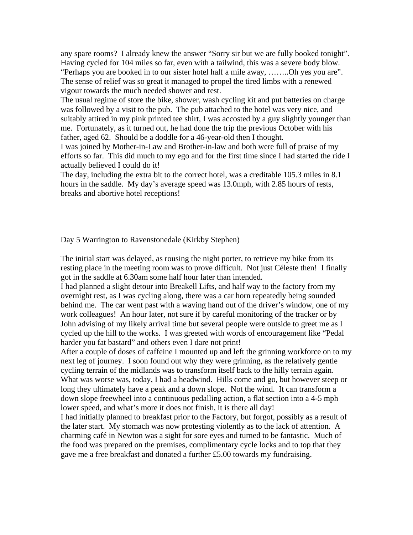any spare rooms? I already knew the answer "Sorry sir but we are fully booked tonight". Having cycled for 104 miles so far, even with a tailwind, this was a severe body blow. "Perhaps you are booked in to our sister hotel half a mile away, ……..Oh yes you are". The sense of relief was so great it managed to propel the tired limbs with a renewed vigour towards the much needed shower and rest.

The usual regime of store the bike, shower, wash cycling kit and put batteries on charge was followed by a visit to the pub. The pub attached to the hotel was very nice, and suitably attired in my pink printed tee shirt, I was accosted by a guy slightly younger than me. Fortunately, as it turned out, he had done the trip the previous October with his father, aged 62. Should be a doddle for a 46-year-old then I thought.

I was joined by Mother-in-Law and Brother-in-law and both were full of praise of my efforts so far. This did much to my ego and for the first time since I had started the ride I actually believed I could do it!

The day, including the extra bit to the correct hotel, was a creditable 105.3 miles in 8.1 hours in the saddle. My day's average speed was 13.0mph, with 2.85 hours of rests, breaks and abortive hotel receptions!

Day 5 Warrington to Ravenstonedale (Kirkby Stephen)

The initial start was delayed, as rousing the night porter, to retrieve my bike from its resting place in the meeting room was to prove difficult. Not just Céleste then! I finally got in the saddle at 6.30am some half hour later than intended.

I had planned a slight detour into Breakell Lifts, and half way to the factory from my overnight rest, as I was cycling along, there was a car horn repeatedly being sounded behind me. The car went past with a waving hand out of the driver's window, one of my work colleagues! An hour later, not sure if by careful monitoring of the tracker or by John advising of my likely arrival time but several people were outside to greet me as I cycled up the hill to the works. I was greeted with words of encouragement like "Pedal harder you fat bastard" and others even I dare not print!

After a couple of doses of caffeine I mounted up and left the grinning workforce on to my next leg of journey. I soon found out why they were grinning, as the relatively gentle cycling terrain of the midlands was to transform itself back to the hilly terrain again. What was worse was, today, I had a headwind. Hills come and go, but however steep or long they ultimately have a peak and a down slope. Not the wind. It can transform a down slope freewheel into a continuous pedalling action, a flat section into a 4-5 mph lower speed, and what's more it does not finish, it is there all day!

I had initially planned to breakfast prior to the Factory, but forgot, possibly as a result of the later start. My stomach was now protesting violently as to the lack of attention. A charming café in Newton was a sight for sore eyes and turned to be fantastic. Much of the food was prepared on the premises, complimentary cycle locks and to top that they gave me a free breakfast and donated a further £5.00 towards my fundraising.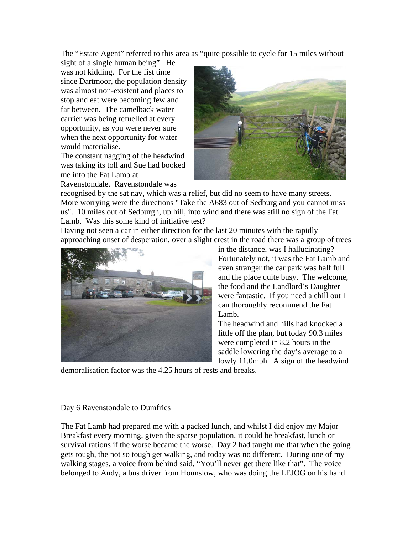The "Estate Agent" referred to this area as "quite possible to cycle for 15 miles without

sight of a single human being". He was not kidding. For the fist time since Dartmoor, the population density was almost non-existent and places to stop and eat were becoming few and far between. The camelback water carrier was being refuelled at every opportunity, as you were never sure when the next opportunity for water would materialise.

The constant nagging of the headwind was taking its toll and Sue had booked me into the Fat Lamb at

Ravenstondale. Ravenstondale was



recognised by the sat nav, which was a relief, but did no seem to have many streets. More worrying were the directions "Take the A683 out of Sedburg and you cannot miss us". 10 miles out of Sedburgh, up hill, into wind and there was still no sign of the Fat Lamb. Was this some kind of initiative test?

Having not seen a car in either direction for the last 20 minutes with the rapidly approaching onset of desperation, over a slight crest in the road there was a group of trees



in the distance, was I hallucinating? Fortunately not, it was the Fat Lamb and even stranger the car park was half full and the place quite busy. The welcome, the food and the Landlord's Daughter were fantastic. If you need a chill out I can thoroughly recommend the Fat Lamb.

The headwind and hills had knocked a little off the plan, but today 90.3 miles were completed in 8.2 hours in the saddle lowering the day's average to a lowly 11.0mph. A sign of the headwind

demoralisation factor was the 4.25 hours of rests and breaks.

# Day 6 Ravenstondale to Dumfries

The Fat Lamb had prepared me with a packed lunch, and whilst I did enjoy my Major Breakfast every morning, given the sparse population, it could be breakfast, lunch or survival rations if the worse became the worse. Day 2 had taught me that when the going gets tough, the not so tough get walking, and today was no different. During one of my walking stages, a voice from behind said, "You'll never get there like that". The voice belonged to Andy, a bus driver from Hounslow, who was doing the LEJOG on his hand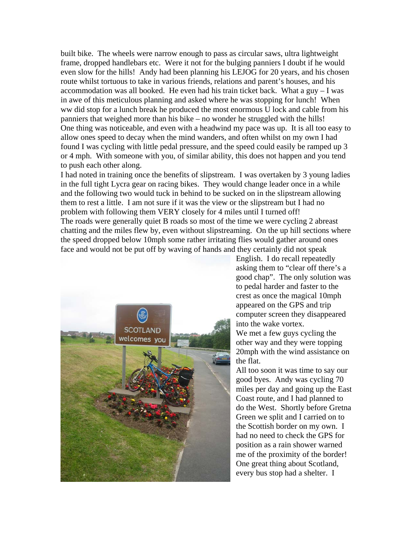built bike. The wheels were narrow enough to pass as circular saws, ultra lightweight frame, dropped handlebars etc. Were it not for the bulging panniers I doubt if he would even slow for the hills! Andy had been planning his LEJOG for 20 years, and his chosen route whilst tortuous to take in various friends, relations and parent's houses, and his accommodation was all booked. He even had his train ticket back. What a guy  $-1$  was in awe of this meticulous planning and asked where he was stopping for lunch! When ww did stop for a lunch break he produced the most enormous U lock and cable from his panniers that weighed more than his bike – no wonder he struggled with the hills! One thing was noticeable, and even with a headwind my pace was up. It is all too easy to allow ones speed to decay when the mind wanders, and often whilst on my own I had found I was cycling with little pedal pressure, and the speed could easily be ramped up 3 or 4 mph. With someone with you, of similar ability, this does not happen and you tend to push each other along.

I had noted in training once the benefits of slipstream. I was overtaken by 3 young ladies in the full tight Lycra gear on racing bikes. They would change leader once in a while and the following two would tuck in behind to be sucked on in the slipstream allowing them to rest a little. I am not sure if it was the view or the slipstream but I had no problem with following them VERY closely for 4 miles until I turned off! The roads were generally quiet B roads so most of the time we were cycling 2 abreast chatting and the miles flew by, even without slipstreaming. On the up hill sections where the speed dropped below 10mph some rather irritating flies would gather around ones face and would not be put off by waving of hands and they certainly did not speak



English. I do recall repeatedly asking them to "clear off there's a good chap". The only solution was to pedal harder and faster to the crest as once the magical 10mph appeared on the GPS and trip computer screen they disappeared into the wake vortex. We met a few guys cycling the other way and they were topping 20mph with the wind assistance on the flat.

All too soon it was time to say our good byes. Andy was cycling 70 miles per day and going up the E ast Coast route, and I had planned to do the West. Shortly before Gre tna Green we split and I carried on to the Scottish border on my own. Ihad no need to check the GPS for position as a rain shower warned me of the proximity of the border! One great thing about Scotland, every bus stop had a shelter. I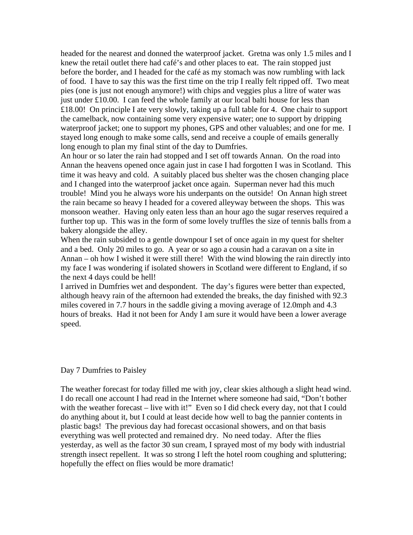headed for the nearest and donned the waterproof jacket. Gretna was only 1.5 miles and I knew the retail outlet there had café's and other places to eat. The rain stopped just before the border, and I headed for the café as my stomach was now rumbling wit h lack of food. I have to say this was the first time on the trip I really felt ripped off. Two me at pies (one is just not enough anymore!) with chips and veggies plus a litre of water was just under £10.00. I can feed the whole family at our local balti house for less than £18.00! On principle I ate very slowly, taking up a full table for 4. One chair to suppo rt the camelback, now containing some very expensive water; one to support by dripp ing waterproof jacket; one to support my phones, GPS and other valuables; and one for me. I stayed long enough to make some calls, send and receive a couple of emails generally long enough to plan my final stint of the day to Dumfries.

An hour or so later the rain had stopped and I set off towards Annan. On the road into Annan the heavens opened once again just in case I had forgotten I was in Scotland. This time it was heavy and cold. A suitably placed bus shelter was the chosen changing place and I changed into the waterproof jacket once again. Superman never had this much trouble! Mind you he always wore his underpants on the outside! On Annan high street the rain became so heavy I headed for a covered alleyway between the shops. This was monsoon weather. Having only eaten less than an hour ago the sugar reserves required a further top up. This was in the form of some lovely truffles the size of tennis balls from a bakery alongside the alley.

When the rain subsided to a gentle downpour I set of once again in my quest for shelter and a bed. Only 20 miles to go. A year or so ago a cousin had a caravan on a site in Annan – oh how I wished it were still there! With the wind blowing the rain directly into my face I was wondering if isolated showers in Scotland were different to England, if so the next 4 days could be hell!

I arrived in Dumfries wet and despondent. The day's figures were better than expected, although heavy rain of the afternoon had extended the breaks, the day finished with 92.3 miles covered in 7.7 hours in the saddle giving a moving average of 12.0mph and 4.3 hours of breaks. Had it not been for Andy I am sure it would have been a lower average speed.

# Day 7 Dumfries to Paisley

The weather forecast for today filled me with joy, clear skies although a slight head wind. I do recall one account I had read in the Internet where someone had said, "Don't bother with the weather forecast – live with it!" Even so I did check every day, not that I could do anything about it, but I could at least decide how well to bag the pannier contents in plastic bags! The previous day had forecast occasional showers, and on that basis everything was well protected and remained dry. No need today. After the flies yesterday, as well as the factor 30 sun cream, I sprayed most of my body with industrial strength insect repellent. It was so strong I left the hotel room coughing and spluttering; hopefully the effect on flies would be more dramatic!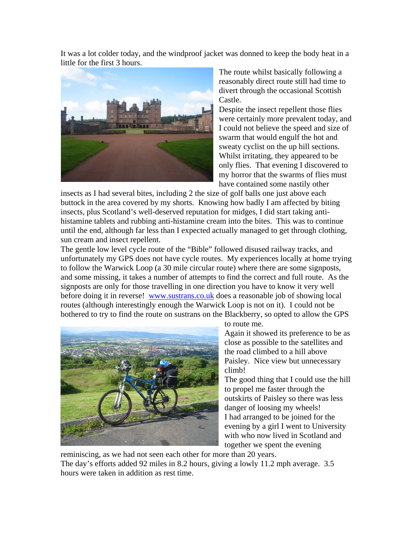It was a lot colder today, and the windproof jacket was donned to keep the body heat in a little for the first 3 hours.



The route whilst basically following a reasonably direct route still had time to divert through the occasional Scottish Castle.

were certainly more prevalent today, and I could not believe the speed and size of sweaty cyclist on the up hill sections. Whilst irritating, they appeared to be my horror that the swarms of flies must Despite the insect repellent those flies swarm that would engulf the hot and only flies. That evening I discovered to have contained some nastily other

histamine tablets and rubbing anti-histamine cream into the bites. This was to continue insects as I had several bites, including 2 the size of golf balls one just above each buttock in the area covered by my shorts. Knowing how badly I am affected by biting insects, plus Scotland's well-deserved reputation for midges, I did start taking antiuntil the end, although far less than I expected actually managed to get through clothing, sun cream and insect repellent.

The gentle low level cycle route of the "Bible" followed disused railway tracks, and unfortunately my GPS does not have cycle routes. My experiences locally at home trying to follow the Warwick Loop (a 30 mile circular route) where there are some signposts, and some missing, it takes a number of attempts to find the correct and full route. As the signposts are only for those travelling in one direction you have to know it very well before doing it in reverse! www.sustrans.co.uk does a reasonable job of showing local routes (although interestingly enough the Warwick Loop is not on it). I could not be bothered to try to find the route on sustrans on the Blackberry, so opted to allow the GPS



to route me.

Again it showed its preference to be as close as possible to the satellites and the road climbed to a hill above Paisley. Nice view but unnecessary climb!

The good thing that I could use the hill to propel me faster through the outskirts of Paisley so there was less danger of loosing my wheels! I had arranged to be joined for the evening by a girl I went to University with who now lived in Scotland and together we spent the evening

reminiscing, as we had not seen each other for more than 20 years. The day's efforts added 92 miles in 8.2 hours, giving a lowly 11.2 mph average. 3.5 hours were taken in addition as rest time.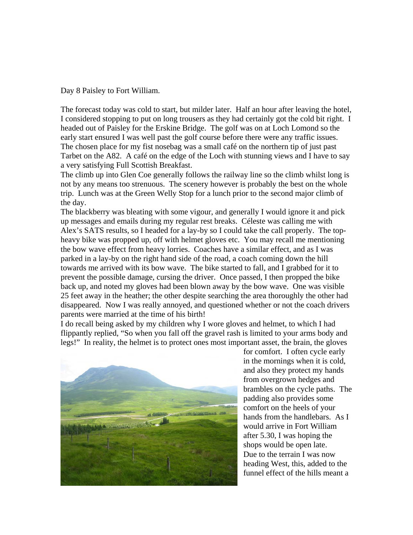Day 8 Paisley to Fort William.

The forecast today was cold to start, but milder later. Half an hour after leaving the hotel, I considered stopping to put on long trousers as they had certainly got the cold bit right. I headed out of Paisley for the Erskine Bridge. The golf was on at Loch Lomond so the early start ensured I was well past the golf course before there were any traffic issues. The chosen place for my fist nosebag was a small café on the northern tip of just past Tarbet on the A82. A café on the edge of the Loch with stunning views and I have to say a very satisfying Full Scottish Breakfast.

The climb up into Glen Coe generally follows the railway line so the climb whilst long is not by any means too strenuous. The scenery however is probably the best on the whole trip. Lunch was at the Green Welly Stop for a lunch prior to the second major climb of the day.

The blackberry was bleating with some vigour, and generally I would ignore it and pick up messages and emails during my regular rest breaks. Céleste was calling me with Alex's SATS results, so I headed for a lay-by so I could take the call properly. The topheavy bike was propped up, off with helmet gloves etc. You may recall me mentioning the bow wave effect from heavy lorries. Coaches have a similar effect, and as I was parked in a lay-by on the right hand side of the road, a coach coming down the hill towards me arrived with its bow wave. The bike started to fall, and I grabbed for it to prevent the possible damage, cursing the driver. Once passed, I then propped the bike back up, and noted my gloves had been blown away by the bow wave. One was visible 25 feet away in the heather; the other despite searching the area thoroughly the other had disappeared. Now I was really annoyed, and questioned whether or not the coach drivers parents were married at the time of his birth!

I do recall being asked by my children why I wore gloves and helmet, to which I had flippantly replied, "So when you fall off the gravel rash is limited to your arms body and legs!" In reality, the helmet is to protect ones most important asset, the brain, the gloves



for comfort. I often cycle early in the mornings when it is cold, and also they protect my hands from overgrown hedges and brambles on the cycle paths. T he padding also provides some comfort on the heels of your hands from the handlebars. As I would arrive in Fort William after 5.30, I was hoping the shops would be open late. Due to the terrain I was now heading West, this, added to the funnel effect of the hills meant a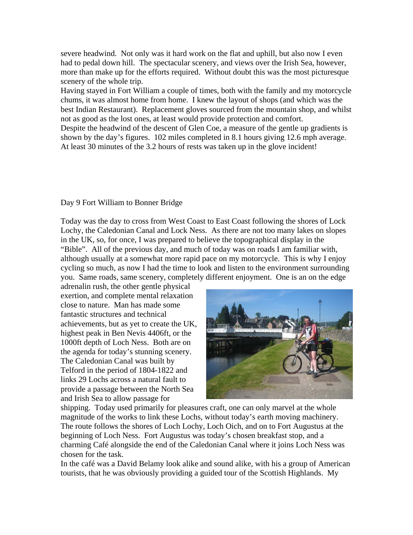severe headwind. Not only was it hard work on the flat and uphill, but also now I even had to pedal down hill. The spectacular scenery, and views over the Irish Sea, however, more than make up for the efforts required. Without doubt this was the most picturesque scenery of the whole trip.

Having stayed in Fort William a couple of times, both with the family and my motorcycle chums, it was almost home from home. I knew the layout of shops (and which was the best Indian Restaurant). Replacement gloves sourced from the mountain shop, and whilst not as good as the lost ones, at least would provide protection and comfort.

Despite the headwind of the descent of Glen Coe, a measure of the gentle up gradients is shown by the day's figures. 102 miles completed in 8.1 hours giving 12.6 mph average. At least 30 minutes of the 3.2 hours of rests was taken up in the glove incident!

# Day 9 Fort William to Bonner Bridge

Today was the day to cross from West Coast to East Coast following the shores of Lock Lochy, the Caledonian Canal and Lock Ness. As there are not too many lakes on slopes in the UK, so, for once, I was prepared to believe the topographical display in the "Bible". All of the previous day, and much of today was on roads I am familiar with, although usually at a somewhat more rapid pace on my motorcycle. This is why I enjoy cycling so much, as now I had the time to look and listen to the environment surrounding you. Same roads, same scenery, completely different enjoyment. One is an on the edge

adrenalin rush, the other gentle physical exertion, and complete mental relaxation close to nature. Man has made some fantastic structures and technical achievements, but as yet to create the UK, highest peak in Ben Nevis 4406ft, or the 1000ft depth of Loch Ness. Both are on the agenda for today's stunning scenery. The Caledonian Canal was built by Telford in the period of 1804-1822 and links 29 Lochs across a natural fault to provide a passage between the North Sea and Irish Sea to allow passage for



shipping. Today used primarily for pleasures craft, one can only marvel at the whole magnitude of the works to link these Lochs, without today's earth moving machinery. The route follows the shores of Loch Lochy, Loch Oich, and on to Fort Augustus at the beginning of Loch Ness. Fort Augustus was today's chosen breakfast stop, and a charming Café alongside the end of the Caledonian Canal where it joins Loch Ness was chosen for the task.

In the café was a David Belamy look alike and sound alike, with his a group of American tourists, that he was obviously providing a guided tour of the Scottish Highlands. My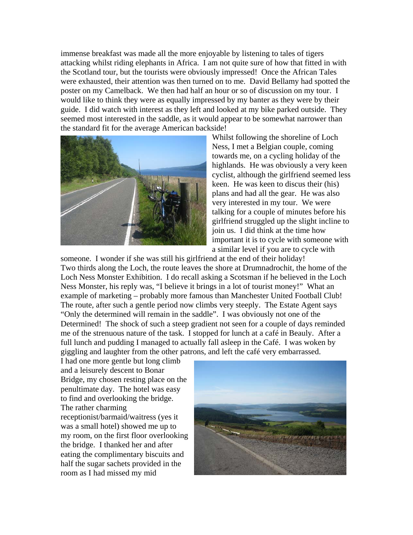immense breakfast was made all the more enjoyable by listening to tales of tigers attacking whilst riding elephants in Africa. I am not quite sure of how that fitted in with the Scotland tour, but the tourists were obviously impressed! Once the African Tales were exhausted, their attention was then turned on to me. David Bellamy had spotted the poster on my Camelback. We then had half an hour or so of discussion on my tour. I would like to think they were as equally impressed by my banter as they were by their guide. I did watch with interest as they left and looked at my bike parked outside. They seemed most interested in the saddle, as it would appear to be somewhat narrower than the standard fit for the average American backside!



Whilst following the shoreline of Loch Ness, I met a Belgian couple, coming towards me, on a cycling holiday of the highlands. He was obviously a very keen cyclist, although the girlfriend seemed less keen. He was keen to discus their (his) plans and had all the gear. He was also very interested in my tour. We were talking for a couple of minutes before his girlfriend struggled up the slight incline to join us. I did think at the time how important it is to cycle with someone with a similar level if you are to cycle with

someone. I wonder if she was still his girlfriend at the end of their holiday! Two thirds along the Loch, the route leaves the shore at Drumnadrochit, the home of the Loch Ness Monster Exhibition. I do recall asking a Scotsman if he believed in the Loch Ness Monster, his reply was, "I believe it brings in a lot of tourist money!" What an example of marketing – probably more famous than Manchester United Football Club! The route, after such a gentle period now climbs very steeply. The Estate Agent says "Only the determined will remain in the saddle". I was obviously not one of the Determined! The shock of such a steep gradient not seen for a couple of days reminded me of the strenuous nature of the task. I stopped for lunch at a café in Beauly. After a full lunch and pudding I managed to actually fall asleep in the Café. I was woken by giggling and laughter from the other patrons, and left the café very embarrassed.

I had one more gentle but long climb and a leisurely descent to Bonar Bridge, my chosen resting place on the penultimate day. The hotel was easy to find and overlooking the bridge. The rather charming receptionist/barmaid/waitress (yes it was a small hotel) showed me up to my room, on the first floor o verlooking the bridge. I thanked her and after eating the complimentary biscuits an d half the sugar sachets provided in th eroom as I had missed my mid

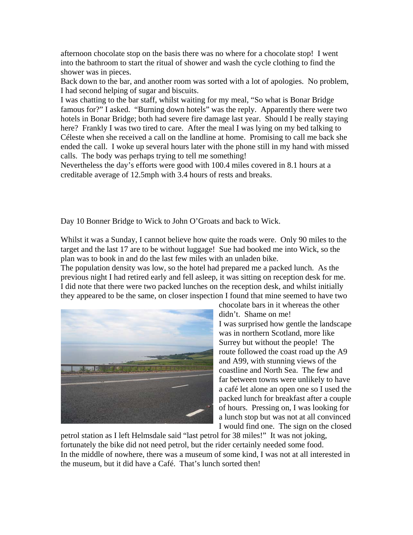afternoon chocolate stop on the basis there was no where for a chocolate stop! I went into the bathroom to start the ritual of shower and wash the cycle clothing to find the shower was in pieces.

Back down to the bar, and another room was sorted with a lot of apologies. No problem, I had second helping of sugar and biscuits.

I was chatting to the bar staff, whilst waiting for my meal, "So what is Bonar Bridge famous for?" I asked. "Burning down hotels" was the reply. Apparently there were two hotels in Bonar Bridge; both had severe fire damage last year. Should I be really staying here? Frankly I was two tired to care. After the meal I was lying on my bed talking to Céleste when she received a call on the landline at home. Promising to call me back she ended the call. I woke up several hours later with the phone still in my hand with missed calls. The body was perhaps trying to tell me something!

Nevertheless the day's efforts were good with 100.4 miles covered in 8.1 hours at a creditable average of 12.5mph with 3.4 hours of rests and breaks.

Day 10 Bonner Bridge to Wick to John O'Groats and back to Wick.

Whilst it was a Sunday, I cannot believe how quite the roads were. Only 90 miles to the target and the last 17 are to be without luggage! Sue had booked me into Wick, so the plan was to book in and do the last few miles with an unladen bike.

The population density was low, so the hotel had prepared me a packed lunch. As the previous night I had retired early and fell asleep, it was sitting on reception desk for me. I did note that there were two packed lunches on the reception desk, and whilst initially they appeared to be the same, on closer inspection I found that mine seemed to have two



chocolate bars in it whereas the other didn't. Shame on me! I was surprised how gentle the l andscape was in northern Scotland, more like Surrey but without the people! The route followed the coast road up the A9 and A99, with stunning views of the coastline and North Sea. The few and far between towns were unlikely to have a café let alone an open one so I used t he packed lunch for breakfast after a coup le of hours. Pressing on, I was looking for a lunch stop but was not at all convince d I would find one. The sign on the clo sed

petrol station as I left Helmsdale said "last petrol for 38 miles!" It was not joking, fortunately the bike did not need petrol, but the rider certainly needed some food. In the middle of nowhere, there was a museum of some kind, I was not at all interested in the museum, but it did have a Café. That's lunch sorted then!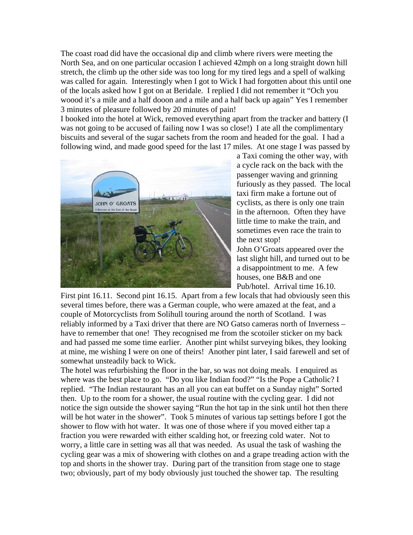The coast road did have the occasional dip and climb where rivers were meeting the North Sea, and on one particular occasion I achieved 42mph on a long straight down hill stretch, the climb up the other side was too long for my tired legs and a spell of walking was called for again. Interestingly when I got to Wick I had forgotten about this until one of the locals asked how I got on at Beridale. I replied I did not remember it "Och you woood it's a mile and a half dooon and a mile and a half back up again" Yes I remember 3 minutes of pleasure followed by 20 minutes of pain!

I booked into the hotel at Wick, removed everything apart from the tracker and battery (I was not going to be accused of failing now I was so close!) I ate all the complimentary biscuits and several of the sugar sachets from the room and headed for the goal. I had a following wind, and made good speed for the last 17 miles. At one stage I was passed by



a Taxi coming the other way, with a cycle rack on the back with the passenger waving and grinning furiously as they passed. The local taxi firm make a fortune out of cyclists, as there is only one train in the afternoon. Often they have little time to make the train, and sometimes even race the train to the next stop!

John O'Groats appeared over the last slight hill, and turned out to be a disappointment to me. A few houses, one B&B and one Pub/hotel. Arrival time 16.10.

First pint 16.11. Second pint 16.15. Apart from a few locals that had obviously seen this several times before, there was a German couple, who were amazed at the feat, and a couple of Motorcyclists from Solihull touring around the north of Scotland. I was reliably informed by a Taxi driver that there are NO Gatso cameras north of Inverness – have to remember that one! They recognised me from the scotoiler sticker on my back and had passed me some time earlier. Another pint whilst surveying bikes, they looking at mine, me wishing I were on one of theirs! Another pint later, I said farewell and set of somewhat unsteadily back to Wick.

The hotel was refurbishing the floor in the bar, so was not doing meals. I enquired as where was the best place to go. "Do you like Indian food?" "Is the Pope a Catholic? I replied. "The Indian restaurant has an all you can eat buffet on a Sunday night" Sorted then. Up to the room for a shower, the usual routine with the cycling gear. I did not notice the sign outside the shower saying "Run the hot tap in the sink until hot then there will be hot water in the shower". Took 5 minutes of various tap settings before I got the shower to flow with hot water. It was one of those where if you moved either tap a fraction you were rewarded with either scalding hot, or freezing cold water. Not to worry, a little care in setting was all that was needed. As usual the task of washing the cycling gear was a mix of showering with clothes on and a grape treading action with the top and shorts in the shower tray. During part of the transition from stage one to stage two; obviously, part of my body obviously just touched the shower tap. The resulting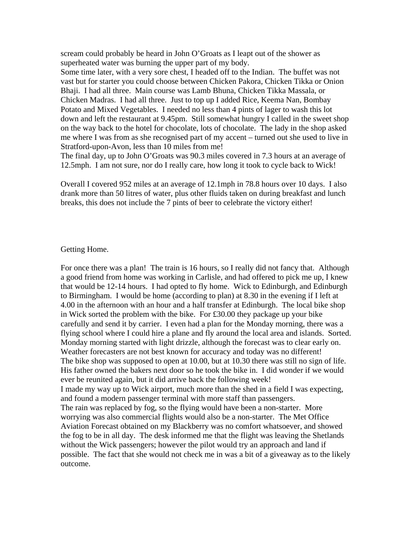scream could probably be heard in John O'Groats as I leapt out of the shower as superheated water was burning the upper part of my body.

Some time later, with a very sore chest, I headed off to the Indian. The buffet was not vast but for starter you could choose between Chicken Pakora, Chicken Tikka or Onion Bhaji. I had all three. Main course was Lamb Bhuna, Chicken Tikka Massala, or Chicken Madras. I had all three. Just to top up I added Rice, Keema Nan, Bombay Potato and Mixed Vegetables. I needed no less than 4 pints of lager to wash this lot down and left the restaurant at 9.45pm. Still somewhat hungry I called in the sweet shop on the way back to the hotel for chocolate, lots of chocolate. The lady in the shop asked me where I was from as she recognised part of my accent – turned out she used to live in Stratford-upon-Avon, less than 10 miles from me!

The final day, up to John O'Groats was 90.3 miles covered in 7.3 hours at an average of 12.5mph. I am not sure, nor do I really care, how long it took to cycle back to Wick!

Overall I covered 952 miles at an average of 12.1mph in 78.8 hours over 10 days. I also drank more than 50 litres of water, plus other fluids taken on during breakfast and lunch breaks, this does not include the 7 pints of beer to celebrate the victory either!

### Getting Home.

For once there was a plan! The train is 16 hours, so I really did not fancy that. Although a good friend from home was working in Carlisle, and had offered to pick me up, I knew that would be 12-14 hours. I had opted to fly home. Wick to Edinburgh, and Edinburgh to Birmingham. I would be home (according to plan) at 8.30 in the evening if I left at 4.00 in the afternoon with an hour and a half transfer at Edinburgh. The local bike shop in Wick sorted the problem with the bike. For £30.00 they package up your bike carefully and send it by carrier. I even had a plan for the Monday morning, there was a flying school where I could hire a plane and fly around the local area and islands. Sorted. Monday morning started with light drizzle, although the forecast was to clear early on. Weather forecasters are not best known for accuracy and today was no different! The bike shop was supposed to open at 10.00, but at 10.30 there was still no sign of life. His father owned the bakers next door so he took the bike in. I did wonder if we would ever be reunited again, but it did arrive back the following week! I made my way up to Wick airport, much more than the shed in a field I was expecting, and found a modern passenger terminal with more staff than passengers. The rain was replaced by fog, so the flying would have been a non-starter. More worrying was also commercial flights would also be a non-starter. The Met Office Aviation Forecast obtained on my Blackberry was no comfort whatsoever, and showed the fog to be in all day. The desk informed me that the flight was leaving the Shetlands without the Wick passengers; however the pilot would try an approach and land if possible. The fact that she would not check me in was a bit of a giveaway as to the likely outcome.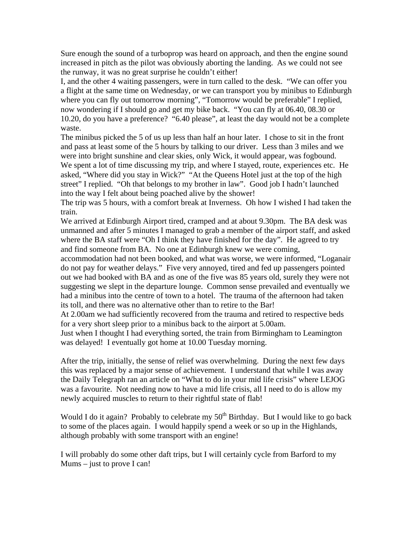Sure enough the sound of a turboprop was heard on approach, and then the engine sound increased in pitch as the pilot was obviously aborting the landing. As we could not see the runway, it was no great surprise he couldn't either!

I, and the other 4 waiting passengers, were in turn called to the desk. "We can offer you a flight at the same time on Wednesday, or we can transport you by minibus to Edinburgh where you can fly out tomorrow morning", "Tomorrow would be preferable" I replied, now wondering if I should go and get my bike back. "You can fly at 06.40, 08.30 or 10.20, do you have a preference? "6.40 please", at least the day would not be a complete waste.

The minibus picked the 5 of us up less than half an hour later. I chose to sit in the front and pass at least some of the 5 hours by talking to our driver. Less than 3 miles and we were into bright sunshine and clear skies, only Wick, it would appear, was fogbound. We spent a lot of time discussing my trip, and where I stayed, route, experiences etc. He asked, "Where did you stay in Wick?" "At the Queens Hotel just at the top of the high street" I replied. "Oh that belongs to my brother in law". Good job I hadn't launched into the way I felt about being poached alive by the shower!

The trip was 5 hours, with a comfort break at Inverness. Oh how I wished I had taken the train.

We arrived at Edinburgh Airport tired, cramped and at about 9.30pm. The BA desk was unmanned and after 5 minutes I managed to grab a member of the airport staff, and asked where the BA staff were "Oh I think they have finished for the day". He agreed to try and find someone from BA. No one at Edinburgh knew we were coming,

accommodation had not been booked, and what was worse, we were informed, "Loganair do not pay for weather delays." Five very annoyed, tired and fed up passengers pointed out we had booked with BA and as one of the five was 85 years old, surely they were not suggesting we slept in the departure lounge. Common sense prevailed and eventually we had a minibus into the centre of town to a hotel. The trauma of the afternoon had taken its toll, and there was no alternative other than to retire to the Bar!

At 2.00am we had sufficiently recovered from the trauma and retired to respective beds for a very short sleep prior to a minibus back to the airport at 5.00am.

Just when I thought I had everything sorted, the train from Birmingham to Leamington was delayed! I eventually got home at 10.00 Tuesday morning.

After the trip, initially, the sense of relief was overwhelming. During the next few days this was replaced by a major sense of achievement. I understand that while I was away the Daily Telegraph ran an article on "What to do in your mid life crisis" where LEJOG was a favourite. Not needing now to have a mid life crisis, all I need to do is allow my newly acquired muscles to return to their rightful state of flab!

Would I do it again? Probably to celebrate my  $50<sup>th</sup>$  Birthday. But I would like to go back to some of the places again. I would happily spend a week or so up in the Highlands, although probably with some transport with an engine!

I will probably do some other daft trips, but I will certainly cycle from Barford to my Mums – just to prove I can!